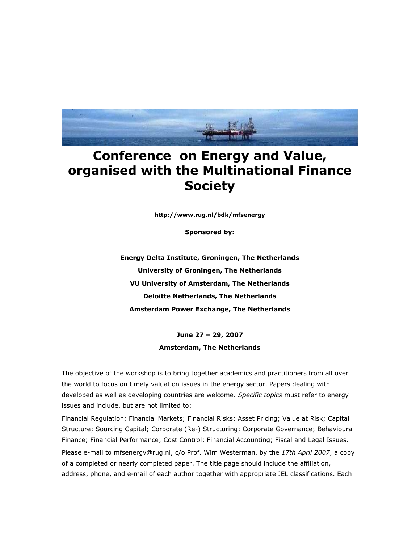

## **Conference on Energy and Value, organised with the Multinational Finance Society**

**http://www.rug.nl/bdk/mfsenergy**

**Sponsored by:**

**Energy Delta Institute, Groningen, The Netherlands University of Groningen, The Netherlands VU University of Amsterdam, The Netherlands Deloitte Netherlands, The Netherlands Amsterdam Power Exchange, The Netherlands**

> **June 27 – 29, 2007 Amsterdam, The Netherlands**

The objective of the workshop is to bring together academics and practitioners from all over the world to focus on timely valuation issues in the energy sector. Papers dealing with developed as well as developing countries are welcome. *Specific topics* must refer to energy issues and include, but are not limited to:

Financial Regulation; Financial Markets; Financial Risks; Asset Pricing; Value at Risk; Capital Structure; Sourcing Capital; Corporate (Re-) Structuring; Corporate Governance; Behavioural Finance; Financial Performance; Cost Control; Financial Accounting; Fiscal and Legal Issues. Please e-mail to mfsenergy@rug.nl, c/o Prof. Wim Westerman, by the *17th April 2007*, a copy of a completed or nearly completed paper. The title page should include the affiliation, address, phone, and e-mail of each author together with appropriate JEL classifications. Each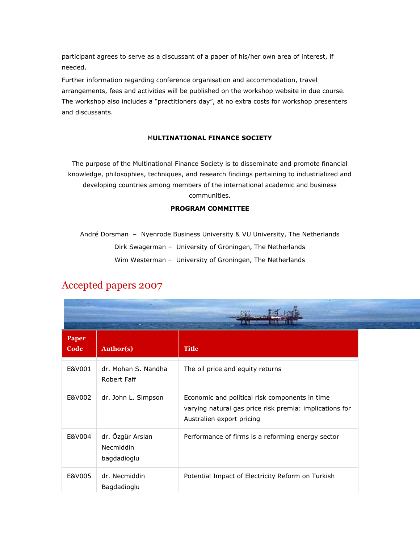participant agrees to serve as a discussant of a paper of his/her own area of interest, if needed.

Further information regarding conference organisation and accommodation, travel arrangements, fees and activities will be published on the workshop website in due course. The workshop also includes a "practitioners day", at no extra costs for workshop presenters and discussants.

## M**ULTINATIONAL FINANCE SOCIETY**

The purpose of the Multinational Finance Society is to disseminate and promote financial knowledge, philosophies, techniques, and research findings pertaining to industrialized and developing countries among members of the international academic and business communities.

## **PROGRAM COMMITTEE**

André Dorsman – Nyenrode Business University & VU University, The Netherlands Dirk Swagerman – University of Groningen, The Netherlands Wim Westerman – University of Groningen, The Netherlands

## Accepted papers 2007

| <b>Paper</b><br>Code | <b>Author(s)</b>                             | <b>Title</b>                                                                                                                           |
|----------------------|----------------------------------------------|----------------------------------------------------------------------------------------------------------------------------------------|
| E&V001               | dr. Mohan S. Nandha<br>Robert Faff           | The oil price and equity returns                                                                                                       |
| E&V002               | dr. John L. Simpson                          | Economic and political risk components in time<br>varying natural gas price risk premia: implications for<br>Australien export pricing |
| E&V004               | dr. Özgür Arslan<br>Necmiddin<br>bagdadioglu | Performance of firms is a reforming energy sector                                                                                      |
| E&V005               | dr. Necmiddin<br>Bagdadioglu                 | Potential Impact of Electricity Reform on Turkish                                                                                      |